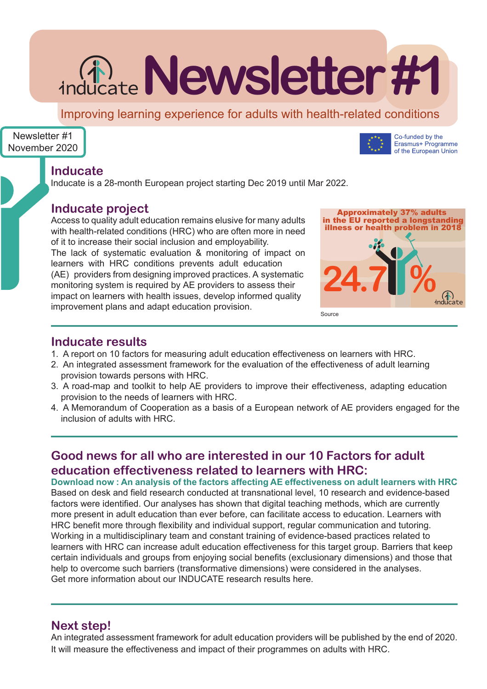# **Newsletter #1**

### Improving learning experience for adults with health-related conditions

### Newsletter #1 November 2020



### **Inducate**

Inducate is a 28-month European project starting Dec 2019 until Mar 2022.

## **Inducate project**

Access to quality adult education remains elusive for many adults with health-related conditions (HRC) who are often more in need of it to increase their social inclusion and employability. The lack of systematic evaluation & monitoring of impact on learners with HRC conditions prevents adult education  $(AE)$  providers from designing improved practices. A systematic monitoring system is required by AE providers to assess their impact on learners with health issues, develop informed quality improvement plans and adapt education provision.



### **Inducate results**

- 1. A report on 10 factors for measuring adult education effectiveness on learners with HRC.
- 2. An integrated assessment framework for the evaluation of the effectiveness of adult learning provision towards persons with HRC.
- 3. A road-map and toolkit to help AE providers to improve their effectiveness, adapting education provision to the needs of learners with HRC.
- A Memorandum of Cooperation as a basis of a European network of AE providers engaged for the inclusion of adults with HRC.

# **Good news for all who are interested in our 10 Factors for adult education effectiveness related to learners with HRC:**

**Download now : An analysis of the factors affecting AE effectiveness on adult learners with HRC**  Based on desk and field research conducted at transnational level, 10 research and evidence-based factors were identified. Our analyses has shown that digital teaching methods, which are currently more present in adult education than ever before, can facilitate access to education. Learners with HRC benefit more through flexibility and individual support, regular communication and tutoring. Working in a multidisciplinary team and constant training of evidence-based practices related to learners with HRC can increase adult education effectiveness for this target group. Barriers that keep certain individuals and groups from enjoying social benefits (exclusionary dimensions) and those that help to overcome such barriers (transformative dimensions) were considered in the analyses. Get more information about our INDUCATE research results here.

## **Next step!**

An integrated assessment framework for adult education providers will be published by the end of 2020. It will measure the effectiveness and impact of their programmes on adults with HRC.